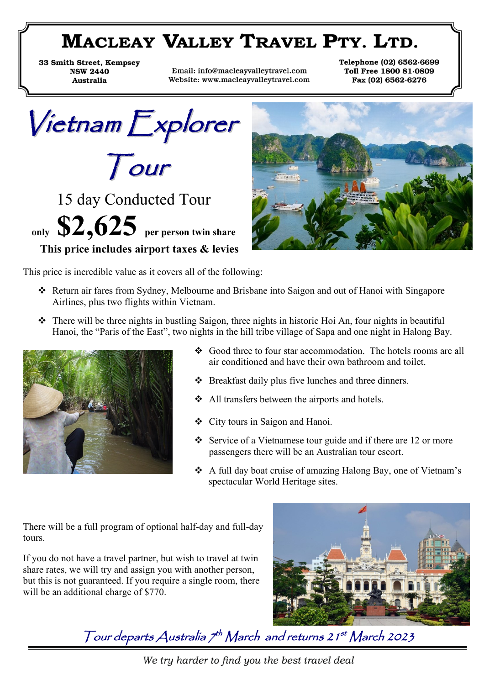# **MACLEAY VALLEY TRAVEL PTY. LTD.**

33 Smith Street, Kempsey **NSW 2440** Australia

Email: info@macleayvalleytravel.com Website: www.macleayvalleytravel.com Telephone (02) 6562.6699 Toll Free 1800 81.0809 Fax (02) 6562.6276

Vietnam Explorer Tour

15 day Conducted Tour **only \$2,625 per person twin share This price includes airport taxes & levies** 



This price is incredible value as it covers all of the following:

- ❖ Return air fares from Sydney, Melbourne and Brisbane into Saigon and out of Hanoi with Singapore Airlines, plus two flights within Vietnam.
- ❖ There will be three nights in bustling Saigon, three nights in historic Hoi An, four nights in beautiful Hanoi, the "Paris of the East", two nights in the hill tribe village of Sapa and one night in Halong Bay.



- ❖ Good three to four star accommodation. The hotels rooms are all air conditioned and have their own bathroom and toilet.
- ❖ Breakfast daily plus five lunches and three dinners.
- ❖ All transfers between the airports and hotels.
- ❖ City tours in Saigon and Hanoi.
- ❖ Service of a Vietnamese tour guide and if there are 12 or more passengers there will be an Australian tour escort.
- ❖ A full day boat cruise of amazing Halong Bay, one of Vietnam's spectacular World Heritage sites.

There will be a full program of optional half-day and full-day tours.

If you do not have a travel partner, but wish to travel at twin share rates, we will try and assign you with another person, but this is not guaranteed. If you require a single room, there will be an additional charge of \$770.



Tour departs Australia 7<sup>th</sup> March and returns 21<sup>st</sup> March 2023

We try harder to find you the best travel deal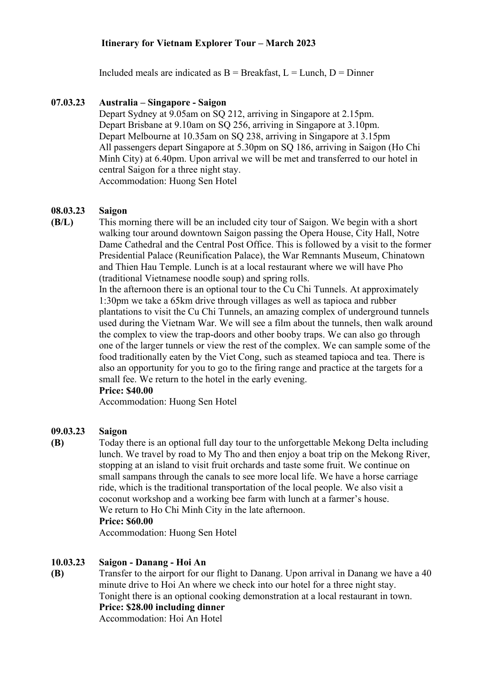# **Itinerary for Vietnam Explorer Tour – March 2023**

Included meals are indicated as  $B =$  Breakfast,  $L =$  Lunch,  $D =$  Dinner

# **07.03.23 Australia – Singapore - Saigon**

Depart Sydney at 9.05am on SQ 212, arriving in Singapore at 2.15pm. Depart Brisbane at 9.10am on SQ 256, arriving in Singapore at 3.10pm. Depart Melbourne at 10.35am on SQ 238, arriving in Singapore at 3.15pm All passengers depart Singapore at 5.30pm on SQ 186, arriving in Saigon (Ho Chi Minh City) at 6.40pm. Upon arrival we will be met and transferred to our hotel in central Saigon for a three night stay. Accommodation: Huong Sen Hotel

#### **08.03.23 Saigon**

**(B/L)** This morning there will be an included city tour of Saigon. We begin with a short walking tour around downtown Saigon passing the Opera House, City Hall, Notre Dame Cathedral and the Central Post Office. This is followed by a visit to the former Presidential Palace (Reunification Palace), the War Remnants Museum, Chinatown and Thien Hau Temple. Lunch is at a local restaurant where we will have Pho (traditional Vietnamese noodle soup) and spring rolls.

> In the afternoon there is an optional tour to the Cu Chi Tunnels. At approximately 1:30pm we take a 65km drive through villages as well as tapioca and rubber plantations to visit the Cu Chi Tunnels, an amazing complex of underground tunnels used during the Vietnam War. We will see a film about the tunnels, then walk around the complex to view the trap-doors and other booby traps. We can also go through one of the larger tunnels or view the rest of the complex. We can sample some of the food traditionally eaten by the Viet Cong, such as steamed tapioca and tea. There is also an opportunity for you to go to the firing range and practice at the targets for a small fee. We return to the hotel in the early evening.

### **Price: \$40.00**

Accommodation: Huong Sen Hotel

#### **09.03.23 Saigon**

**(B)** Today there is an optional full day tour to the unforgettable Mekong Delta including lunch. We travel by road to My Tho and then enjoy a boat trip on the Mekong River, stopping at an island to visit fruit orchards and taste some fruit. We continue on small sampans through the canals to see more local life. We have a horse carriage ride, which is the traditional transportation of the local people. We also visit a coconut workshop and a working bee farm with lunch at a farmer's house. We return to Ho Chi Minh City in the late afternoon.

### **Price: \$60.00**

Accommodation: Huong Sen Hotel

#### **10.03.23 Saigon - Danang - Hoi An**

**(B)** Transfer to the airport for our flight to Danang. Upon arrival in Danang we have a 40 minute drive to Hoi An where we check into our hotel for a three night stay. Tonight there is an optional cooking demonstration at a local restaurant in town. **Price: \$28.00 including dinner**

Accommodation: Hoi An Hotel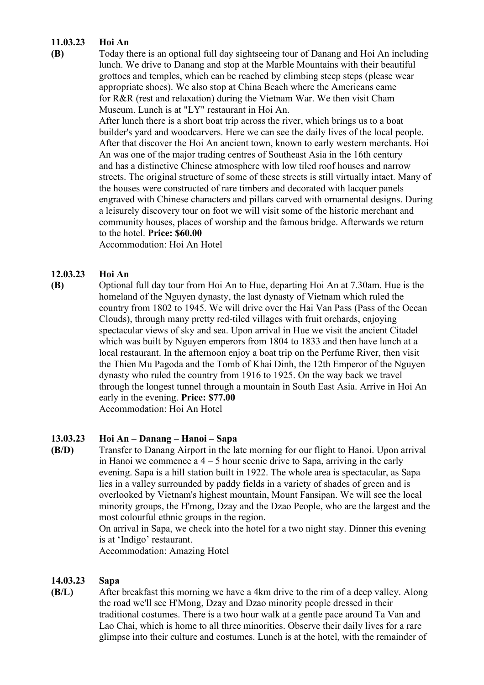#### **11.03.23 Hoi An**

**(B)**

Today there is an optional full day sightseeing tour of Danang and Hoi An including lunch. We drive to Danang and stop at the Marble Mountains with their beautiful grottoes and temples, which can be reached by climbing steep steps (please wear appropriate shoes). We also stop at China Beach where the Americans came for R&R (rest and relaxation) during the Vietnam War. We then visit Cham Museum. Lunch is at "LY" restaurant in Hoi An.

After lunch there is a short boat trip across the river, which brings us to a boat builder's yard and woodcarvers. Here we can see the daily lives of the local people. After that discover the Hoi An ancient town, known to early western merchants. Hoi An was one of the major trading centres of Southeast Asia in the 16th century and has a distinctive Chinese atmosphere with low tiled roof houses and narrow streets. The original structure of some of these streets is still virtually intact. Many of the houses were constructed of rare timbers and decorated with lacquer panels engraved with Chinese characters and pillars carved with ornamental designs. During a leisurely discovery tour on foot we will visit some of the historic merchant and community houses, places of worship and the famous bridge. Afterwards we return to the hotel. **Price: \$60.00**

Accommodation: Hoi An Hotel

#### **12.03.23 Hoi An**

**(B)** Optional full day tour from Hoi An to Hue, departing Hoi An at 7.30am. Hue is the homeland of the Nguyen dynasty, the last dynasty of Vietnam which ruled the country from 1802 to 1945. We will drive over the Hai Van Pass (Pass of the Ocean Clouds), through many pretty red-tiled villages with fruit orchards, enjoying spectacular views of sky and sea. Upon arrival in Hue we visit the ancient Citadel which was built by Nguyen emperors from 1804 to 1833 and then have lunch at a local restaurant. In the afternoon enjoy a boat trip on the Perfume River, then visit the Thien Mu Pagoda and the Tomb of Khai Dinh, the 12th Emperor of the Nguyen dynasty who ruled the country from 1916 to 1925. On the way back we travel through the longest tunnel through a mountain in South East Asia. Arrive in Hoi An early in the evening. **Price: \$77.00** Accommodation: Hoi An Hotel

#### **13.03.23 Hoi An – Danang – Hanoi – Sapa**

**(B/D)** Transfer to Danang Airport in the late morning for our flight to Hanoi. Upon arrival in Hanoi we commence a  $4 - 5$  hour scenic drive to Sapa, arriving in the early evening. Sapa is a hill station built in 1922. The whole area is spectacular, as Sapa lies in a valley surrounded by paddy fields in a variety of shades of green and is overlooked by Vietnam's highest mountain, Mount Fansipan. We will see the local minority groups, the H'mong, Dzay and the Dzao People, who are the largest and the most colourful ethnic groups in the region.

On arrival in Sapa, we check into the hotel for a two night stay. Dinner this evening is at 'Indigo' restaurant.

Accommodation: Amazing Hotel

#### **14.03.23 Sapa**

**(B/L)** After breakfast this morning we have a 4km drive to the rim of a deep valley. Along the road we'll see H'Mong, Dzay and Dzao minority people dressed in their traditional costumes. There is a two hour walk at a gentle pace around Ta Van and Lao Chai, which is home to all three minorities. Observe their daily lives for a rare glimpse into their culture and costumes. Lunch is at the hotel, with the remainder of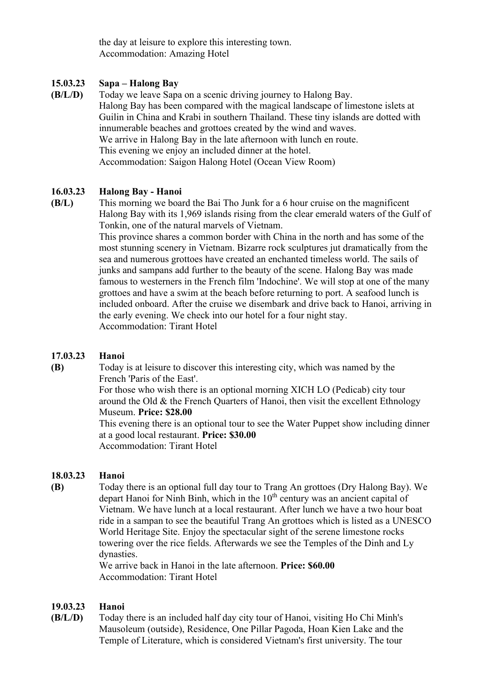the day at leisure to explore this interesting town. Accommodation: Amazing Hotel

#### **15.03.23 Sapa – Halong Bay**

**(B/L/D)** Today we leave Sapa on a scenic driving journey to Halong Bay. Halong Bay has been compared with the magical landscape of limestone islets at Guilin in China and Krabi in southern Thailand. These tiny islands are dotted with innumerable beaches and grottoes created by the wind and waves. We arrive in Halong Bay in the late afternoon with lunch en route. This evening we enjoy an included dinner at the hotel. Accommodation: Saigon Halong Hotel (Ocean View Room)

#### **16.03.23 Halong Bay - Hanoi**

**(B/L)** This morning we board the Bai Tho Junk for a 6 hour cruise on the magnificent Halong Bay with its 1,969 islands rising from the clear emerald waters of the Gulf of Tonkin, one of the natural marvels of Vietnam.

This province shares a common border with China in the north and has some of the most stunning scenery in Vietnam. Bizarre rock sculptures jut dramatically from the sea and numerous grottoes have created an enchanted timeless world. The sails of junks and sampans add further to the beauty of the scene. Halong Bay was made famous to westerners in the French film 'Indochine'. We will stop at one of the many grottoes and have a swim at the beach before returning to port. A seafood lunch is included onboard. After the cruise we disembark and drive back to Hanoi, arriving in the early evening. We check into our hotel for a four night stay. Accommodation: Tirant Hotel

#### **17.03.23 Hanoi**

**(B)**

Today is at leisure to discover this interesting city, which was named by the French 'Paris of the East'.

For those who wish there is an optional morning XICH LO (Pedicab) city tour around the Old  $&$  the French Quarters of Hanoi, then visit the excellent Ethnology Museum. **Price: \$28.00**

This evening there is an optional tour to see the Water Puppet show including dinner at a good local restaurant. **Price: \$30.00**

Accommodation: Tirant Hotel

#### **18.03.23 Hanoi**

**(B)** Today there is an optional full day tour to Trang An grottoes (Dry Halong Bay). We depart Hanoi for Ninh Binh, which in the  $10<sup>th</sup>$  century was an ancient capital of Vietnam. We have lunch at a local restaurant. After lunch we have a two hour boat ride in a sampan to see the beautiful Trang An grottoes which is listed as a UNESCO World Heritage Site. Enjoy the spectacular sight of the serene limestone rocks towering over the rice fields. Afterwards we see the Temples of the Dinh and Ly dynasties.

We arrive back in Hanoi in the late afternoon. **Price: \$60.00** Accommodation: Tirant Hotel

#### **19.03.23 Hanoi**

**(B/L/D)** Today there is an included half day city tour of Hanoi, visiting Ho Chi Minh's Mausoleum (outside), Residence, One Pillar Pagoda, Hoan Kien Lake and the Temple of Literature, which is considered Vietnam's first university. The tour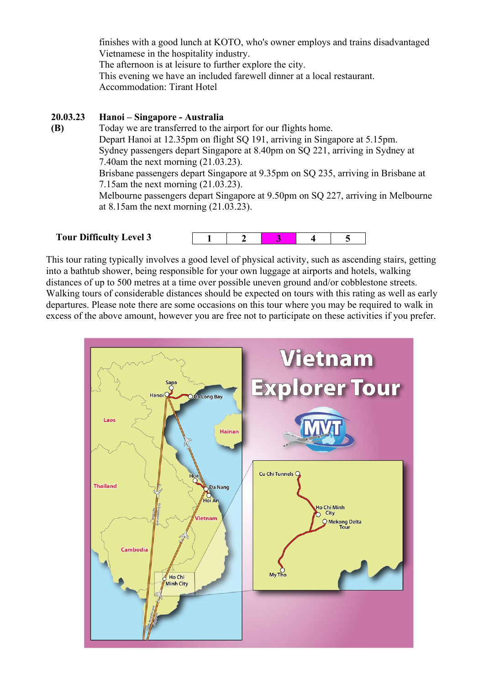finishes with a good lunch at KOTO, who's owner employs and trains disadvantaged Vietnamese in the hospitality industry. The afternoon is at leisure to further explore the city. This evening we have an included farewell dinner at a local restaurant. Accommodation: Tirant Hotel

#### **20.03.23 Hanoi – Singapore - Australia**

**(B)** Today we are transferred to the airport for our flights home. Depart Hanoi at 12.35pm on flight SQ 191, arriving in Singapore at 5.15pm. Sydney passengers depart Singapore at 8.40pm on SQ 221, arriving in Sydney at 7.40am the next morning (21.03.23). Brisbane passengers depart Singapore at 9.35pm on SQ 235, arriving in Brisbane at 7.15am the next morning (21.03.23). Melbourne passengers depart Singapore at 9.50pm on SQ 227, arriving in Melbourne at 8.15am the next morning (21.03.23).

 **Tour Difficulty Level 3**



This tour rating typically involves a good level of physical activity, such as ascending stairs, getting into a bathtub shower, being responsible for your own luggage at airports and hotels, walking distances of up to 500 metres at a time over possible uneven ground and/or cobblestone streets. Walking tours of considerable distances should be expected on tours with this rating as well as early departures. Please note there are some occasions on this tour where you may be required to walk in excess of the above amount, however you are free not to participate on these activities if you prefer.

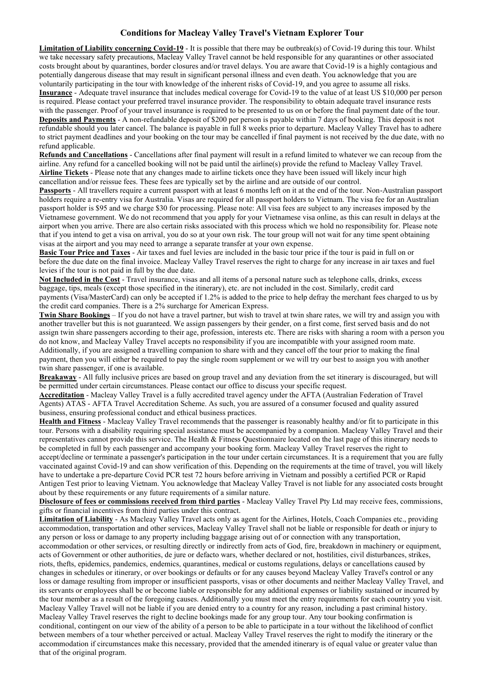### **Conditions for Macleay Valley Travel's Vietnam Explorer Tour**

**Limitation of Liability concerning Covid-19** - It is possible that there may be outbreak(s) of Covid-19 during this tour. Whilst we take necessary safety precautions, Macleay Valley Travel cannot be held responsible for any quarantines or other associated costs brought about by quarantines, border closures and/or travel delays. You are aware that Covid-19 is a highly contagious and potentially dangerous disease that may result in significant personal illness and even death. You acknowledge that you are voluntarily participating in the tour with knowledge of the inherent risks of Covid-19, and you agree to assume all risks. **Insurance** - Adequate travel insurance that includes medical coverage for Covid-19 to the value of at least US \$10,000 per person is required. Please contact your preferred travel insurance provider. The responsibility to obtain adequate travel insurance rests with the passenger. Proof of your travel insurance is required to be presented to us on or before the final payment date of the tour. **Deposits and Payments** - A non-refundable deposit of \$200 per person is payable within 7 days of booking. This deposit is not refundable should you later cancel. The balance is payable in full 8 weeks prior to departure. Macleay Valley Travel has to adhere to strict payment deadlines and your booking on the tour may be cancelled if final payment is not received by the due date, with no refund applicable.

**Refunds and Cancellations** - Cancellations after final payment will result in a refund limited to whatever we can recoup from the airline. Any refund for a cancelled booking will not be paid until the airline(s) provide the refund to Macleay Valley Travel. **Airline Tickets** - Please note that any changes made to airline tickets once they have been issued will likely incur high cancellation and/or reissue fees. These fees are typically set by the airline and are outside of our control.

**Passports** - All travellers require a current passport with at least 6 months left on it at the end of the tour. Non-Australian passport holders require a re-entry visa for Australia. Visas are required for all passport holders to Vietnam. The visa fee for an Australian passport holder is \$95 and we charge \$30 for processing. Please note: All visa fees are subject to any increases imposed by the Vietnamese government. We do not recommend that you apply for your Vietnamese visa online, as this can result in delays at the airport when you arrive. There are also certain risks associated with this process which we hold no responsibility for. Please note that if you intend to get a visa on arrival, you do so at your own risk. The tour group will not wait for any time spent obtaining visas at the airport and you may need to arrange a separate transfer at your own expense.

**Basic Tour Price and Taxes** - Air taxes and fuel levies are included in the basic tour price if the tour is paid in full on or before the due date on the final invoice. Macleay Valley Travel reserves the right to charge for any increase in air taxes and fuel levies if the tour is not paid in full by the due date.

**Not Included in the Cost** - Travel insurance, visas and all items of a personal nature such as telephone calls, drinks, excess baggage, tips, meals (except those specified in the itinerary), etc. are not included in the cost. Similarly, credit card payments (Visa/MasterCard) can only be accepted if 1.2% is added to the price to help defray the merchant fees charged to us by the credit card companies. There is a 2% surcharge for American Express.

**Twin Share Bookings** – If you do not have a travel partner, but wish to travel at twin share rates, we will try and assign you with another traveller but this is not guaranteed. We assign passengers by their gender, on a first come, first served basis and do not assign twin share passengers according to their age, profession, interests etc. There are risks with sharing a room with a person you do not know, and Macleay Valley Travel accepts no responsibility if you are incompatible with your assigned room mate. Additionally, if you are assigned a travelling companion to share with and they cancel off the tour prior to making the final payment, then you will either be required to pay the single room supplement or we will try our best to assign you with another twin share passenger, if one is available.

**Breakaway** - All fully inclusive prices are based on group travel and any deviation from the set itinerary is discouraged, but will be permitted under certain circumstances. Please contact our office to discuss your specific request.

**Accreditation** - Macleay Valley Travel is a fully accredited travel agency under the AFTA (Australian Federation of Travel Agents) ATAS - AFTA Travel Accreditation Scheme. As such, you are assured of a consumer focused and quality assured business, ensuring professional conduct and ethical business practices.

**Health and Fitness** - Macleay Valley Travel recommends that the passenger is reasonably healthy and/or fit to participate in this tour. Persons with a disability requiring special assistance must be accompanied by a companion. Macleay Valley Travel and their representatives cannot provide this service. The Health & Fitness Questionnaire located on the last page of this itinerary needs to be completed in full by each passenger and accompany your booking form. Macleay Valley Travel reserves the right to accept/decline or terminate a passenger's participation in the tour under certain circumstances. It is a requirement that you are fully vaccinated against Covid-19 and can show verification of this. Depending on the requirements at the time of travel, you will likely have to undertake a pre-departure Covid PCR test 72 hours before arriving in Vietnam and possibly a certified PCR or Rapid Antigen Test prior to leaving Vietnam. You acknowledge that Macleay Valley Travel is not liable for any associated costs brought about by these requirements or any future requirements of a similar nature.

**Disclosure of fees or commissions received from third parties** - Macleay Valley Travel Pty Ltd may receive fees, commissions, gifts or financial incentives from third parties under this contract.

**Limitation of Liability** - As Macleay Valley Travel acts only as agent for the Airlines, Hotels, Coach Companies etc., providing accommodation, transportation and other services, Macleay Valley Travel shall not be liable or responsible for death or injury to any person or loss or damage to any property including baggage arising out of or connection with any transportation, accommodation or other services, or resulting directly or indirectly from acts of God, fire, breakdown in machinery or equipment, acts of Government or other authorities, de jure or defacto wars, whether declared or not, hostilities, civil disturbances, strikes, riots, thefts, epidemics, pandemics, endemics, quarantines, medical or customs regulations, delays or cancellations caused by changes in schedules or itinerary, or over bookings or defaults or for any causes beyond Macleay Valley Travel's control or any loss or damage resulting from improper or insufficient passports, visas or other documents and neither Macleay Valley Travel, and its servants or employees shall be or become liable or responsible for any additional expenses or liability sustained or incurred by the tour member as a result of the foregoing causes. Additionally you must meet the entry requirements for each country you visit. Macleay Valley Travel will not be liable if you are denied entry to a country for any reason, including a past criminal history. Macleay Valley Travel reserves the right to decline bookings made for any group tour. Any tour booking confirmation is conditional, contingent on our view of the ability of a person to be able to participate in a tour without the likelihood of conflict between members of a tour whether perceived or actual. Macleay Valley Travel reserves the right to modify the itinerary or the accommodation if circumstances make this necessary, provided that the amended itinerary is of equal value or greater value than that of the original program.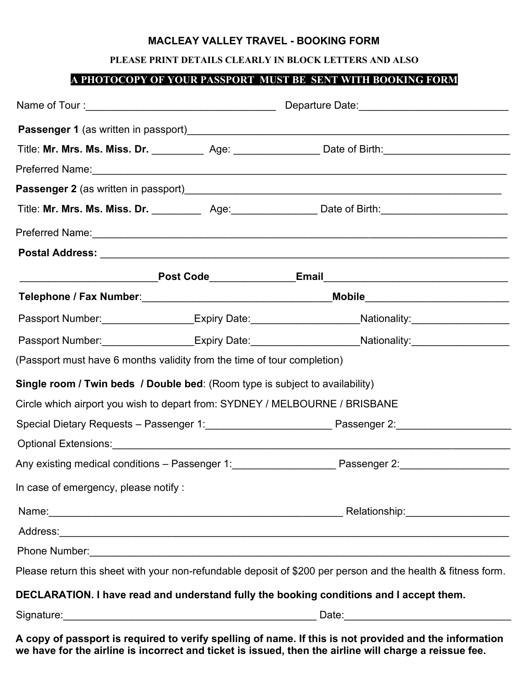### **MACLEAY VALLEY TRAVEL - BOOKING FORM**

### **PLEASE PRINT DETAILS CLEARLY IN BLOCK LETTERS AND ALSO**

# **A PHOTOCOPY OF YOUR PASSPORT MUST BE SENT WITH BOOKING FORM**

| Title: Mr. Mrs. Ms. Miss. Dr. _____________ Age: __________________ Date of Birth: ___________________________<br>(Passport must have 6 months validity from the time of tour completion)<br>In case of emergency, please notify :<br>Please return this sheet with your non-refundable deposit of \$200 per person and the health & fitness form.<br>DECLARATION. I have read and understand fully the booking conditions and I accept them. |                                                                              |  |  |  |  |
|-----------------------------------------------------------------------------------------------------------------------------------------------------------------------------------------------------------------------------------------------------------------------------------------------------------------------------------------------------------------------------------------------------------------------------------------------|------------------------------------------------------------------------------|--|--|--|--|
| Title: Mr. Mrs. Ms. Miss. Dr. ____________ Age: ___________________ Date of Birth: ___________________________                                                                                                                                                                                                                                                                                                                                |                                                                              |  |  |  |  |
| Passport Number: __________________Expiry Date: ____________________Nationality: __________________<br>Passport Number: __________________Expiry Date: _____________________Nationality: __________________                                                                                                                                                                                                                                   |                                                                              |  |  |  |  |
|                                                                                                                                                                                                                                                                                                                                                                                                                                               |                                                                              |  |  |  |  |
|                                                                                                                                                                                                                                                                                                                                                                                                                                               |                                                                              |  |  |  |  |
|                                                                                                                                                                                                                                                                                                                                                                                                                                               |                                                                              |  |  |  |  |
|                                                                                                                                                                                                                                                                                                                                                                                                                                               |                                                                              |  |  |  |  |
|                                                                                                                                                                                                                                                                                                                                                                                                                                               |                                                                              |  |  |  |  |
|                                                                                                                                                                                                                                                                                                                                                                                                                                               |                                                                              |  |  |  |  |
|                                                                                                                                                                                                                                                                                                                                                                                                                                               |                                                                              |  |  |  |  |
|                                                                                                                                                                                                                                                                                                                                                                                                                                               |                                                                              |  |  |  |  |
|                                                                                                                                                                                                                                                                                                                                                                                                                                               |                                                                              |  |  |  |  |
|                                                                                                                                                                                                                                                                                                                                                                                                                                               |                                                                              |  |  |  |  |
|                                                                                                                                                                                                                                                                                                                                                                                                                                               | Single room / Twin beds / Double bed: (Room type is subject to availability) |  |  |  |  |
|                                                                                                                                                                                                                                                                                                                                                                                                                                               | Circle which airport you wish to depart from: SYDNEY / MELBOURNE / BRISBANE  |  |  |  |  |
|                                                                                                                                                                                                                                                                                                                                                                                                                                               |                                                                              |  |  |  |  |
|                                                                                                                                                                                                                                                                                                                                                                                                                                               |                                                                              |  |  |  |  |
|                                                                                                                                                                                                                                                                                                                                                                                                                                               |                                                                              |  |  |  |  |
|                                                                                                                                                                                                                                                                                                                                                                                                                                               |                                                                              |  |  |  |  |
|                                                                                                                                                                                                                                                                                                                                                                                                                                               |                                                                              |  |  |  |  |
|                                                                                                                                                                                                                                                                                                                                                                                                                                               |                                                                              |  |  |  |  |
|                                                                                                                                                                                                                                                                                                                                                                                                                                               |                                                                              |  |  |  |  |
|                                                                                                                                                                                                                                                                                                                                                                                                                                               |                                                                              |  |  |  |  |
|                                                                                                                                                                                                                                                                                                                                                                                                                                               |                                                                              |  |  |  |  |
|                                                                                                                                                                                                                                                                                                                                                                                                                                               |                                                                              |  |  |  |  |

**A copy of passport is required to verify spelling of name. If this is not provided and the information we have for the airline is incorrect and ticket is issued, then the airline will charge a reissue fee.**